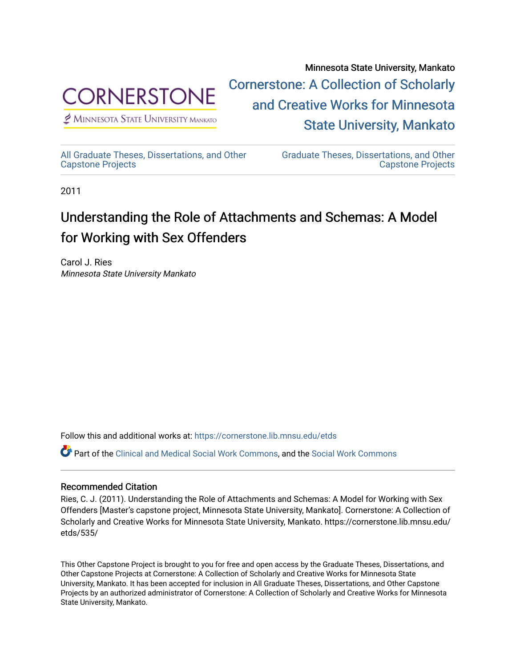

 $<sup>2</sup>$  Minnesota State University Mankato</sup>

Minnesota State University, Mankato [Cornerstone: A Collection of Scholarly](https://cornerstone.lib.mnsu.edu/)  [and Creative Works for Minnesota](https://cornerstone.lib.mnsu.edu/)  [State University, Mankato](https://cornerstone.lib.mnsu.edu/) 

[All Graduate Theses, Dissertations, and Other](https://cornerstone.lib.mnsu.edu/etds)  [Capstone Projects](https://cornerstone.lib.mnsu.edu/etds) 

[Graduate Theses, Dissertations, and Other](https://cornerstone.lib.mnsu.edu/theses_dissertations-capstone)  [Capstone Projects](https://cornerstone.lib.mnsu.edu/theses_dissertations-capstone) 

2011

### Understanding the Role of Attachments and Schemas: A Model for Working with Sex Offenders

Carol J. Ries Minnesota State University Mankato

Follow this and additional works at: [https://cornerstone.lib.mnsu.edu/etds](https://cornerstone.lib.mnsu.edu/etds?utm_source=cornerstone.lib.mnsu.edu%2Fetds%2F535&utm_medium=PDF&utm_campaign=PDFCoverPages) 

Part of the [Clinical and Medical Social Work Commons,](http://network.bepress.com/hgg/discipline/712?utm_source=cornerstone.lib.mnsu.edu%2Fetds%2F535&utm_medium=PDF&utm_campaign=PDFCoverPages) and the [Social Work Commons](http://network.bepress.com/hgg/discipline/713?utm_source=cornerstone.lib.mnsu.edu%2Fetds%2F535&utm_medium=PDF&utm_campaign=PDFCoverPages)

### Recommended Citation

Ries, C. J. (2011). Understanding the Role of Attachments and Schemas: A Model for Working with Sex Offenders [Master's capstone project, Minnesota State University, Mankato]. Cornerstone: A Collection of Scholarly and Creative Works for Minnesota State University, Mankato. https://cornerstone.lib.mnsu.edu/ etds/535/

This Other Capstone Project is brought to you for free and open access by the Graduate Theses, Dissertations, and Other Capstone Projects at Cornerstone: A Collection of Scholarly and Creative Works for Minnesota State University, Mankato. It has been accepted for inclusion in All Graduate Theses, Dissertations, and Other Capstone Projects by an authorized administrator of Cornerstone: A Collection of Scholarly and Creative Works for Minnesota State University, Mankato.